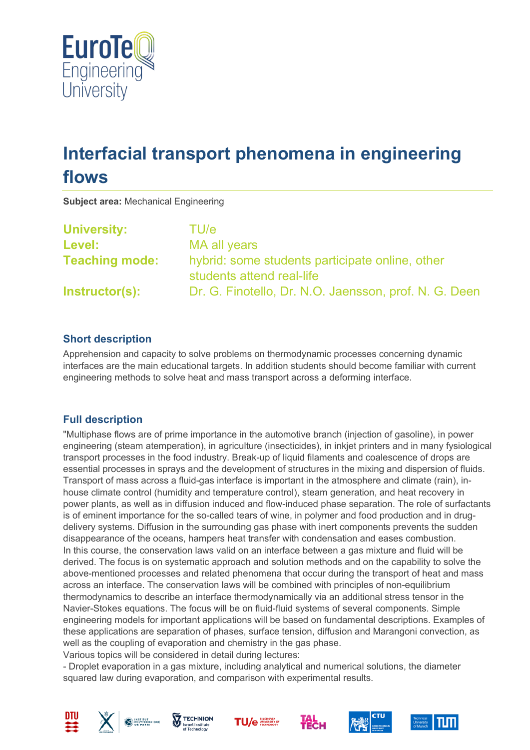

# **Interfacial transport phenomena in engineering flows**

**Subject area:** Mechanical Engineering

| <b>University:</b>    | TU/e                                                                         |
|-----------------------|------------------------------------------------------------------------------|
| <b>Level:</b>         | MA all years                                                                 |
| <b>Teaching mode:</b> | hybrid: some students participate online, other<br>students attend real-life |
| Instructor(s):        | Dr. G. Finotello, Dr. N.O. Jaensson, prof. N. G. Deen                        |

## **Short description**

Apprehension and capacity to solve problems on thermodynamic processes concerning dynamic interfaces are the main educational targets. In addition students should become familiar with current engineering methods to solve heat and mass transport across a deforming interface.

#### **Full description**

"Multiphase flows are of prime importance in the automotive branch (injection of gasoline), in power engineering (steam atemperation), in agriculture (insecticides), in inkjet printers and in many fysiological transport processes in the food industry. Break-up of liquid filaments and coalescence of drops are essential processes in sprays and the development of structures in the mixing and dispersion of fluids. Transport of mass across a fluid-gas interface is important in the atmosphere and climate (rain), inhouse climate control (humidity and temperature control), steam generation, and heat recovery in power plants, as well as in diffusion induced and flow-induced phase separation. The role of surfactants is of eminent importance for the so-called tears of wine, in polymer and food production and in drugdelivery systems. Diffusion in the surrounding gas phase with inert components prevents the sudden disappearance of the oceans, hampers heat transfer with condensation and eases combustion. In this course, the conservation laws valid on an interface between a gas mixture and fluid will be derived. The focus is on systematic approach and solution methods and on the capability to solve the above-mentioned processes and related phenomena that occur during the transport of heat and mass across an interface. The conservation laws will be combined with principles of non-equilibrium thermodynamics to describe an interface thermodynamically via an additional stress tensor in the Navier-Stokes equations. The focus will be on fluid-fluid systems of several components. Simple engineering models for important applications will be based on fundamental descriptions. Examples of these applications are separation of phases, surface tension, diffusion and Marangoni convection, as well as the coupling of evaporation and chemistry in the gas phase.

Various topics will be considered in detail during lectures:

- Droplet evaporation in a gas mixture, including analytical and numerical solutions, the diameter squared law during evaporation, and comparison with experimental results.













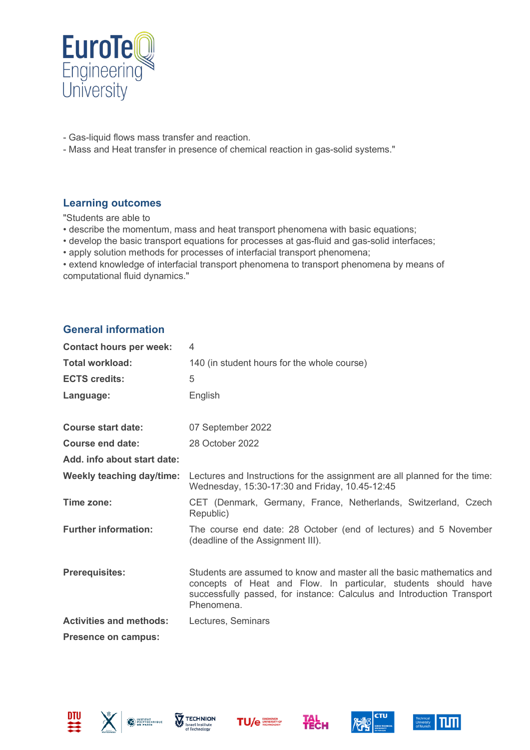

- Gas-liquid flows mass transfer and reaction.
- Mass and Heat transfer in presence of chemical reaction in gas-solid systems."

#### **Learning outcomes**

"Students are able to

- describe the momentum, mass and heat transport phenomena with basic equations;
- develop the basic transport equations for processes at gas-fluid and gas-solid interfaces;
- apply solution methods for processes of interfacial transport phenomena;

• extend knowledge of interfacial transport phenomena to transport phenomena by means of computational fluid dynamics."

#### **General information**

| <b>Contact hours per week:</b>   | 4                                                                                                                                                                                                                               |  |  |
|----------------------------------|---------------------------------------------------------------------------------------------------------------------------------------------------------------------------------------------------------------------------------|--|--|
| <b>Total workload:</b>           | 140 (in student hours for the whole course)                                                                                                                                                                                     |  |  |
| <b>ECTS credits:</b>             | 5                                                                                                                                                                                                                               |  |  |
| Language:                        | English                                                                                                                                                                                                                         |  |  |
| <b>Course start date:</b>        | 07 September 2022                                                                                                                                                                                                               |  |  |
| Course end date:                 | 28 October 2022                                                                                                                                                                                                                 |  |  |
| Add. info about start date:      |                                                                                                                                                                                                                                 |  |  |
| <b>Weekly teaching day/time:</b> | Lectures and Instructions for the assignment are all planned for the time:<br>Wednesday, 15:30-17:30 and Friday, 10.45-12:45                                                                                                    |  |  |
| Time zone:                       | CET (Denmark, Germany, France, Netherlands, Switzerland, Czech<br>Republic)                                                                                                                                                     |  |  |
| <b>Further information:</b>      | The course end date: 28 October (end of lectures) and 5 November<br>(deadline of the Assignment III).                                                                                                                           |  |  |
| <b>Prerequisites:</b>            | Students are assumed to know and master all the basic mathematics and<br>concepts of Heat and Flow. In particular, students should have<br>successfully passed, for instance: Calculus and Introduction Transport<br>Phenomena. |  |  |
| <b>Activities and methods:</b>   | Lectures, Seminars                                                                                                                                                                                                              |  |  |
| <b>Presence on campus:</b>       |                                                                                                                                                                                                                                 |  |  |









**Тесн**